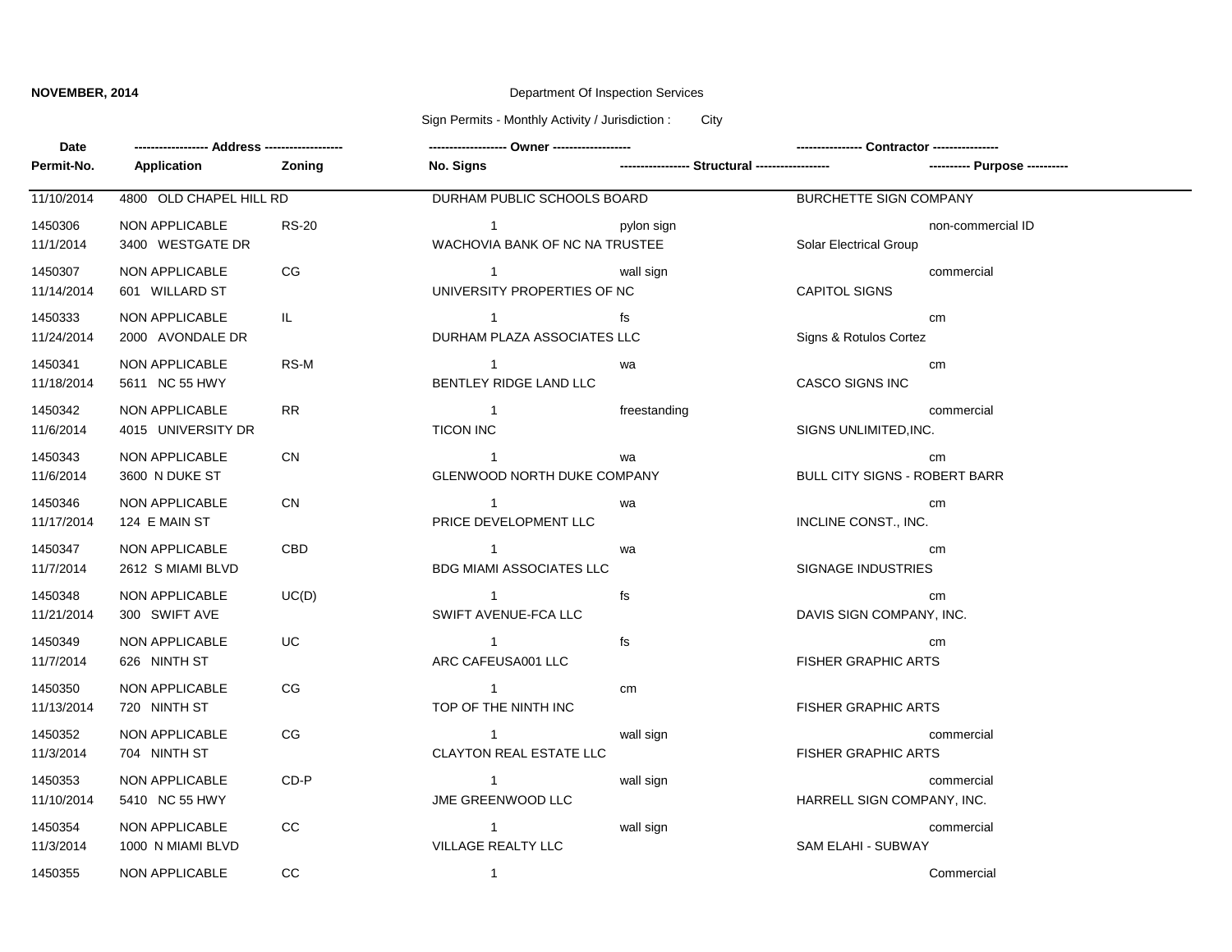## **NOVEMBER, 2014** Department Of Inspection Services

Sign Permits - Monthly Activity / Jurisdiction : City

| Date                  |                                      |              |                                                         |              |                                      |                               |
|-----------------------|--------------------------------------|--------------|---------------------------------------------------------|--------------|--------------------------------------|-------------------------------|
| Permit-No.            | Application                          | Zoning       | <b>No. Signs</b>                                        |              |                                      | ---------- Purpose ---------- |
| 11/10/2014            | 4800 OLD CHAPEL HILL RD              |              | DURHAM PUBLIC SCHOOLS BOARD                             |              | <b>BURCHETTE SIGN COMPANY</b>        |                               |
| 1450306<br>11/1/2014  | NON APPLICABLE<br>3400 WESTGATE DR   | <b>RS-20</b> | $\mathbf 1$<br>WACHOVIA BANK OF NC NA TRUSTEE           | pylon sign   | Solar Electrical Group               | non-commercial ID             |
| 1450307<br>11/14/2014 | NON APPLICABLE<br>601 WILLARD ST     | CG           | $\sim$ 1<br>UNIVERSITY PROPERTIES OF NC                 | wall sign    | <b>CAPITOL SIGNS</b>                 | commercial                    |
| 1450333<br>11/24/2014 | NON APPLICABLE<br>2000 AVONDALE DR   | IL.          | $\overline{1}$<br>DURHAM PLAZA ASSOCIATES LLC           | fs           | Signs & Rotulos Cortez               | cm                            |
| 1450341<br>11/18/2014 | NON APPLICABLE<br>5611 NC 55 HWY     | RS-M         | $\overline{1}$<br>BENTLEY RIDGE LAND LLC                | wa           | <b>CASCO SIGNS INC</b>               | cm                            |
| 1450342<br>11/6/2014  | NON APPLICABLE<br>4015 UNIVERSITY DR | ${\sf RR}$   | $\overline{\phantom{1}}$<br><b>TICON INC</b>            | freestanding | SIGNS UNLIMITED, INC.                | commercial                    |
| 1450343<br>11/6/2014  | NON APPLICABLE<br>3600 N DUKE ST     | <b>CN</b>    | $\overline{\phantom{1}}$<br>GLENWOOD NORTH DUKE COMPANY | wa           | <b>BULL CITY SIGNS - ROBERT BARR</b> | cm                            |
| 1450346<br>11/17/2014 | NON APPLICABLE<br>124 E MAIN ST      | CN           | $\overline{1}$<br>PRICE DEVELOPMENT LLC                 | wa           | INCLINE CONST., INC.                 | cm                            |
| 1450347<br>11/7/2014  | NON APPLICABLE<br>2612 S MIAMI BLVD  | CBD          | $\overline{1}$<br><b>BDG MIAMI ASSOCIATES LLC</b>       | wa           | <b>SIGNAGE INDUSTRIES</b>            | cm                            |
| 1450348<br>11/21/2014 | NON APPLICABLE<br>300 SWIFT AVE      | UC(D)        | $\sim$ 1<br>SWIFT AVENUE-FCA LLC                        | fs           | DAVIS SIGN COMPANY, INC.             | cm                            |
| 1450349<br>11/7/2014  | NON APPLICABLE<br>626 NINTH ST       | UC           | $\overline{1}$<br>ARC CAFEUSA001 LLC                    | fs           | <b>FISHER GRAPHIC ARTS</b>           | cm                            |
| 1450350<br>11/13/2014 | NON APPLICABLE<br>720 NINTH ST       | CG           | $\overline{1}$<br>TOP OF THE NINTH INC                  | cm           | <b>FISHER GRAPHIC ARTS</b>           |                               |
| 1450352<br>11/3/2014  | NON APPLICABLE<br>704 NINTH ST       | CG           | $\sim$ 1<br><b>CLAYTON REAL ESTATE LLC</b>              | wall sign    | <b>FISHER GRAPHIC ARTS</b>           | commercial                    |
| 1450353<br>11/10/2014 | NON APPLICABLE<br>5410 NC 55 HWY     | $CD-P$       | $\overline{1}$<br>JME GREENWOOD LLC                     | wall sign    | HARRELL SIGN COMPANY, INC.           | commercial                    |
| 1450354<br>11/3/2014  | NON APPLICABLE<br>1000 N MIAMI BLVD  | cc           | $\overline{1}$<br>VILLAGE REALTY LLC                    | wall sign    | SAM ELAHI - SUBWAY                   | commercial                    |
| 1450355               | NON APPLICABLE                       | CC           | $\overline{1}$                                          |              |                                      | Commercial                    |